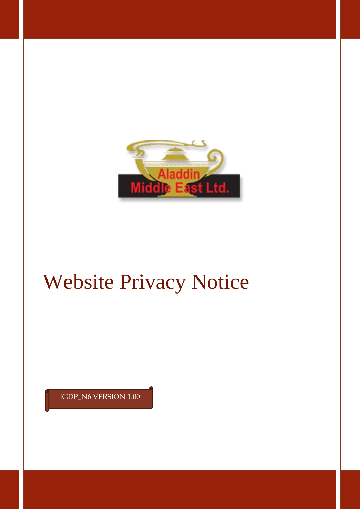

# Website Privacy Notice

IGDP\_N6 VERSION 1.00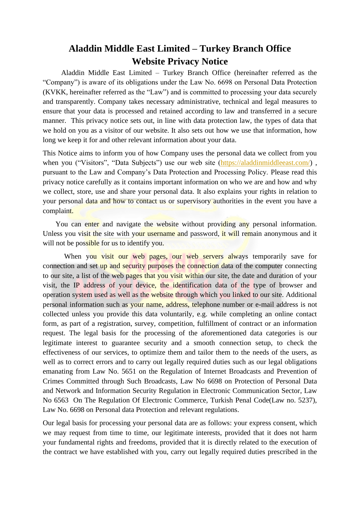## **Aladdin Middle East Limited – Turkey Branch Office Website Privacy Notice**

 Aladdin Middle East Limited – Turkey Branch Office (hereinafter referred as the "Company") is aware of its obligations under the Law No. 6698 on Personal Data Protection (KVKK, hereinafter referred as the "Law") and is committed to processing your data securely and transparently. Company takes necessary administrative, technical and legal measures to ensure that your data is processed and retained according to law and transferred in a secure manner. This privacy notice sets out, in line with data protection law, the types of data that we hold on you as a visitor of our website. It also sets out how we use that information, how long we keep it for and other relevant information about your data.

This Notice aims to inform you of how Company uses the personal data we collect from you when you ("Visitors", "Data Subjects") use our web site [\(https://aladdinmiddleeast.com/\)](https://aladdinmiddleeast.com/), pursuant to the Law and Company's Data Protection and Processing Policy. Please read this privacy notice carefully as it contains important information on who we are and how and why we collect, store, use and share your personal data. It also explains your rights in relation to your personal data and how to contact us or supervisory authorities in the event you have a complaint.

You can enter and navigate the website without providing any personal information. Unless you visit the site with your username and password, it will remain anonymous and it will not be possible for us to identify you.

When you visit our web pages, our web servers always temporarily save for connection and set up and security purposes the connection data of the computer connecting to our site, a list of the web pages that you visit within our site, the date and duration of your visit, the IP address of your device, the identification data of the type of browser and operation system used as well as the website through which you linked to our site. Additional personal information such as your name, address, telephone number or e-mail address is not collected unless you provide this data voluntarily, e.g. while completing an online contact form, as part of a registration, survey, competition, fulfillment of contract or an information request. The legal basis for the processing of the aforementioned data categories is our legitimate interest to guarantee security and a smooth connection setup, to check the effectiveness of our services, to optimize them and tailor them to the needs of the users, as well as to correct errors and to carry out legally required duties such as our legal obligations emanating from Law No. 5651 on the Regulation of Internet Broadcasts and Prevention of Crimes Committed through Such Broadcasts, Law No 6698 on Protection of Personal Data and Network and Information Security Regulation in Electronic Communication Sector, Law No 6563 On The Regulation Of Electronic Commerce, Turkish Penal Code(Law no. 5237), Law No. 6698 on Personal data Protection and relevant regulations.

Our legal basis for processing your personal data are as follows: your express consent, which we may request from time to time, our legitimate interests, provided that it does not harm your fundamental rights and freedoms, provided that it is directly related to the execution of the contract we have established with you, carry out legally required duties prescribed in the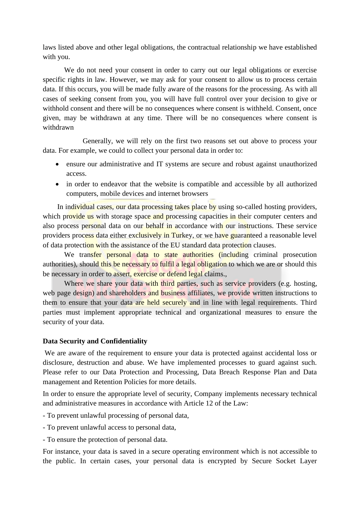laws listed above and other legal obligations, the contractual relationship we have established with you.

We do not need your consent in order to carry out our legal obligations or exercise specific rights in law. However, we may ask for your consent to allow us to process certain data. If this occurs, you will be made fully aware of the reasons for the processing. As with all cases of seeking consent from you, you will have full control over your decision to give or withhold consent and there will be no consequences where consent is withheld. Consent, once given, may be withdrawn at any time. There will be no consequences where consent is withdrawn

 Generally, we will rely on the first two reasons set out above to process your data. For example, we could to collect your personal data in order to:

- ensure our administrative and IT systems are secure and robust against unauthorized access.
- in order to endeavor that the website is compatible and accessible by all authorized computers, mobile devices and internet browsers

In individual cases, our data processing takes place by using so-called hosting providers, which provide us with storage space and processing capacities in their computer centers and also process personal data on our behalf in accordance with our instructions. These service providers process data either exclusively in Turkey, or we have guaranteed a reasonable level of data protection with the assistance of the EU standard data protection clauses.

We transfer personal data to state authorities (including criminal prosecution authorities), should this be necessary to fulfil a legal obligation to which we are or should this be necessary in order to assert, exercise or defend legal claims.,

Where we share your data with third parties, such as service providers (e.g. hosting, web page design) and shareholders and business affiliates, we provide written instructions to them to ensure that your data are held securely and in line with legal requirements. Third parties must implement appropriate technical and organizational measures to ensure the security of your data.

### **Data Security and Confidentiality**

We are aware of the requirement to ensure your data is protected against accidental loss or disclosure, destruction and abuse. We have implemented processes to guard against such. Please refer to our Data Protection and Processing, Data Breach Response Plan and Data management and Retention Policies for more details.

In order to ensure the appropriate level of security, Company implements necessary technical and administrative measures in accordance with Article 12 of the Law:

- To prevent unlawful processing of personal data,

- To prevent unlawful access to personal data,

- To ensure the protection of personal data.

For instance, your data is saved in a secure operating environment which is not accessible to the public. In certain cases, your personal data is encrypted by Secure Socket Layer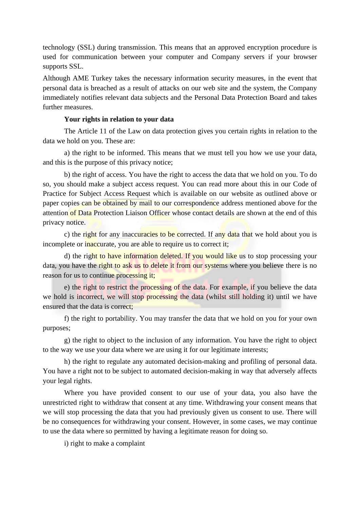technology (SSL) during transmission. This means that an approved encryption procedure is used for communication between your computer and Company servers if your browser supports SSL.

Although AME Turkey takes the necessary information security measures, in the event that personal data is breached as a result of attacks on our web site and the system, the Company immediately notifies relevant data subjects and the Personal Data Protection Board and takes further measures.

#### **Your rights in relation to your data**

The Article 11 of the Law on data protection gives you certain rights in relation to the data we hold on you. These are:

a) the right to be informed. This means that we must tell you how we use your data, and this is the purpose of this privacy notice;

b) the right of access. You have the right to access the data that we hold on you. To do so, you should make a subject access request. You can read more about this in our Code of Practice for Subject Access Request which is available on our website as outlined above or paper copies can be obtained by mail to our correspondence address mentioned above for the attention of Data Protection Liaison Officer whose contact details are shown at the end of this privacy notice.

c) the right for any inaccuracies to be corrected. If any data that we hold about you is incomplete or inaccurate, you are able to require us to correct it;

d) the right to have information deleted. If you would like us to stop processing your data, you have the right to ask us to delete it from our systems where you believe there is no reason for us to continue processing it;

e) the right to restrict the processing of the data. For example, if you believe the data we hold is incorrect, we will stop processing the data (whilst still holding it) until we have ensured that the data is correct;

f) the right to portability. You may transfer the data that we hold on you for your own purposes;

g) the right to object to the inclusion of any information. You have the right to object to the way we use your data where we are using it for our legitimate interests;

h) the right to regulate any automated decision-making and profiling of personal data. You have a right not to be subject to automated decision-making in way that adversely affects your legal rights.

Where you have provided consent to our use of your data, you also have the unrestricted right to withdraw that consent at any time. Withdrawing your consent means that we will stop processing the data that you had previously given us consent to use. There will be no consequences for withdrawing your consent. However, in some cases, we may continue to use the data where so permitted by having a legitimate reason for doing so.

i) right to make a complaint